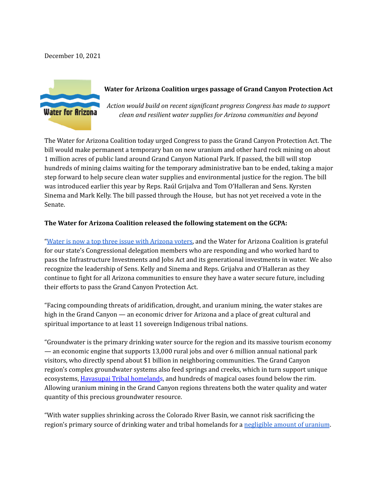December 10, 2021



## **Water for Arizona Coalition urges passage of Grand Canyon Protection Act**

*Action would build on recent significant progress Congress has made to support clean and resilient water supplies for Arizona communities and beyond*

The Water for Arizona Coalition today urged Congress to pass the Grand Canyon Protection Act. The bill would make permanent a temporary ban on new uranium and other hard rock mining on about 1 million acres of public land around Grand Canyon National Park. If passed, the bill will stop hundreds of mining claims waiting for the temporary administrative ban to be ended, taking a major step forward to help secure clean water supplies and environmental justice for the region. The bill was introduced earlier this year by Reps. Raúl Grijalva and Tom O'Halleran and Sens. Kyrsten Sinema and Mark Kelly. The bill passed through the House, but has not yet received a vote in the Senate.

## **The Water for Arizona Coalition released the following statement on the GCPA:**

"Water is now a top three issue with [Arizona](https://d5cce0e3-1537-4217-a269-a7203d7b4cd3.filesusr.com/ugd/9ef7a5_ebe6e6b0e89845a8bf879f50c1b90a6b.pdf) voters, and the Water for Arizona Coalition is grateful for our state's Congressional delegation members who are responding and who worked hard to pass the Infrastructure Investments and Jobs Act and its generational investments in water. We also recognize the leadership of Sens. Kelly and Sinema and Reps. Grijalva and O'Halleran as they continue to fight for all Arizona communities to ensure they have a water secure future, including their efforts to pass the Grand Canyon Protection Act.

"Facing compounding threats of aridification, drought, and uranium mining, the water stakes are high in the Grand Canyon — an economic driver for Arizona and a place of great cultural and spiritual importance to at least 11 sovereign Indigenous tribal nations.

"Groundwater is the primary drinking water source for the region and its massive tourism economy — an economic engine that supports 13,000 rural jobs and over 6 million annual national park visitors, who directly spend about \$1 billion in neighboring communities. The Grand Canyon region's complex groundwater systems also feed springs and creeks, which in turn support unique ecosystems, [Havasupai](https://www.newsweek.com/congress-must-act-save-havasupai-tribe-extinction-opinion-1654939) Tribal homelands, and hundreds of magical oases found below the rim. Allowing uranium mining in the Grand Canyon regions threatens both the water quality and water quantity of this precious groundwater resource.

"With water supplies shrinking across the Colorado River Basin, we cannot risk sacrificing the region's primary source of drinking water and tribal homelands for a [negligible](https://www.grandcanyontrust.org/identified-uranium-resources-united-states-map) amount of uranium.